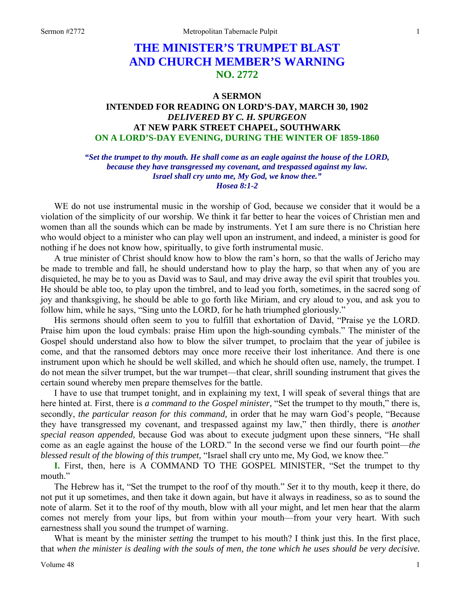## **THE MINISTER'S TRUMPET BLAST AND CHURCH MEMBER'S WARNING NO. 2772**

## **A SERMON**

## **INTENDED FOR READING ON LORD'S-DAY, MARCH 30, 1902**  *DELIVERED BY C. H. SPURGEON*  **AT NEW PARK STREET CHAPEL, SOUTHWARK ON A LORD'S-DAY EVENING, DURING THE WINTER OF 1859-1860**

## *"Set the trumpet to thy mouth. He shall come as an eagle against the house of the LORD, because they have transgressed my covenant, and trespassed against my law. Israel shall cry unto me, My God, we know thee." Hosea 8:1-2*

WE do not use instrumental music in the worship of God, because we consider that it would be a violation of the simplicity of our worship. We think it far better to hear the voices of Christian men and women than all the sounds which can be made by instruments. Yet I am sure there is no Christian here who would object to a minister who can play well upon an instrument, and indeed, a minister is good for nothing if he does not know how, spiritually, to give forth instrumental music.

A true minister of Christ should know how to blow the ram's horn, so that the walls of Jericho may be made to tremble and fall, he should understand how to play the harp, so that when any of you are disquieted, he may be to you as David was to Saul, and may drive away the evil spirit that troubles you. He should be able too, to play upon the timbrel, and to lead you forth, sometimes, in the sacred song of joy and thanksgiving, he should be able to go forth like Miriam, and cry aloud to you, and ask you to follow him, while he says, "Sing unto the LORD, for he hath triumphed gloriously."

His sermons should often seem to you to fulfill that exhortation of David, "Praise ye the LORD. Praise him upon the loud cymbals: praise Him upon the high-sounding cymbals." The minister of the Gospel should understand also how to blow the silver trumpet, to proclaim that the year of jubilee is come, and that the ransomed debtors may once more receive their lost inheritance. And there is one instrument upon which he should be well skilled, and which he should often use, namely, the trumpet. I do not mean the silver trumpet, but the war trumpet—that clear, shrill sounding instrument that gives the certain sound whereby men prepare themselves for the battle.

I have to use that trumpet tonight, and in explaining my text, I will speak of several things that are here hinted at. First, there is *a command to the Gospel minister*, "Set the trumpet to thy mouth," there is, secondly, *the particular reason for this command,* in order that he may warn God's people, "Because they have transgressed my covenant, and trespassed against my law," then thirdly, there is *another special reason appended,* because God was about to execute judgment upon these sinners, "He shall come as an eagle against the house of the LORD." In the second verse we find our fourth point—*the blessed result of the blowing of this trumpet,* "Israel shall cry unto me, My God, we know thee."

**I.** First, then, here is A COMMAND TO THE GOSPEL MINISTER, "Set the trumpet to thy mouth."

The Hebrew has it, "Set the trumpet to the roof of thy mouth." *Set* it to thy mouth, keep it there, do not put it up sometimes, and then take it down again, but have it always in readiness, so as to sound the note of alarm. Set it to the roof of thy mouth, blow with all your might, and let men hear that the alarm comes not merely from your lips, but from within your mouth—from your very heart. With such earnestness shall you sound the trumpet of warning.

What is meant by the minister *setting* the trumpet to his mouth? I think just this. In the first place, that *when the minister is dealing with the souls of men, the tone which he uses should be very decisive.*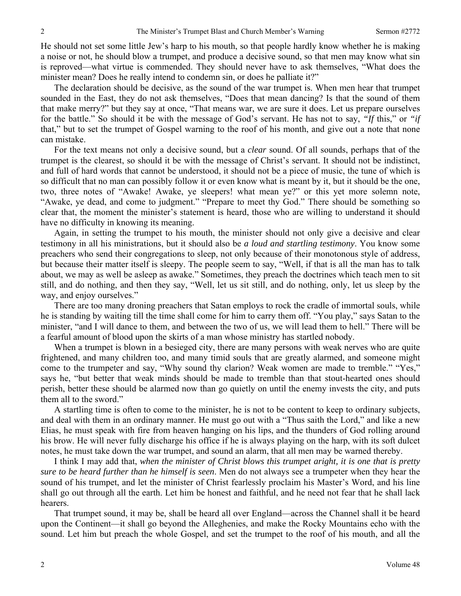He should not set some little Jew's harp to his mouth, so that people hardly know whether he is making a noise or not, he should blow a trumpet, and produce a decisive sound, so that men may know what sin is reproved—what virtue is commended. They should never have to ask themselves, "What does the minister mean? Does he really intend to condemn sin, or does he palliate it?"

The declaration should be decisive, as the sound of the war trumpet is. When men hear that trumpet sounded in the East, they do not ask themselves, "Does that mean dancing? Is that the sound of them that make merry?" but they say at once, "That means war, we are sure it does. Let us prepare ourselves for the battle." So should it be with the message of God's servant. He has not to say, *"If* this," or *"if* that," but to set the trumpet of Gospel warning to the roof of his month, and give out a note that none can mistake.

For the text means not only a decisive sound, but a *clear* sound. Of all sounds, perhaps that of the trumpet is the clearest, so should it be with the message of Christ's servant. It should not be indistinct, and full of hard words that cannot be understood, it should not be a piece of music, the tune of which is so difficult that no man can possibly follow it or even know what is meant by it, but it should be the one, two, three notes of "Awake! Awake, ye sleepers! what mean ye?" or this yet more solemn note, "Awake, ye dead, and come to judgment." "Prepare to meet thy God." There should be something so clear that, the moment the minister's statement is heard, those who are willing to understand it should have no difficulty in knowing its meaning.

Again, in setting the trumpet to his mouth, the minister should not only give a decisive and clear testimony in all his ministrations, but it should also be *a loud and startling testimony*. You know some preachers who send their congregations to sleep, not only because of their monotonous style of address, but because their matter itself is sleepy. The people seem to say, "Well, if that is all the man has to talk about, we may as well be asleep as awake." Sometimes, they preach the doctrines which teach men to sit still, and do nothing, and then they say, "Well, let us sit still, and do nothing, only, let us sleep by the way, and enjoy ourselves."

There are too many droning preachers that Satan employs to rock the cradle of immortal souls, while he is standing by waiting till the time shall come for him to carry them off. "You play," says Satan to the minister, "and I will dance to them, and between the two of us, we will lead them to hell." There will be a fearful amount of blood upon the skirts of a man whose ministry has startled nobody.

When a trumpet is blown in a besieged city, there are many persons with weak nerves who are quite frightened, and many children too, and many timid souls that are greatly alarmed, and someone might come to the trumpeter and say, "Why sound thy clarion? Weak women are made to tremble." "Yes," says he, "but better that weak minds should be made to tremble than that stout-hearted ones should perish, better these should be alarmed now than go quietly on until the enemy invests the city, and puts them all to the sword."

A startling time is often to come to the minister, he is not to be content to keep to ordinary subjects, and deal with them in an ordinary manner. He must go out with a "Thus saith the Lord," and like a new Elias, he must speak with fire from heaven hanging on his lips, and the thunders of God rolling around his brow. He will never fully discharge his office if he is always playing on the harp, with its soft dulcet notes, he must take down the war trumpet, and sound an alarm, that all men may be warned thereby.

I think I may add that, *when the minister of Christ blows this trumpet aright, it is one that is pretty sure to be heard further than he himself is seen*. Men do not always see a trumpeter when they hear the sound of his trumpet, and let the minister of Christ fearlessly proclaim his Master's Word, and his line shall go out through all the earth. Let him be honest and faithful, and he need not fear that he shall lack hearers.

That trumpet sound, it may be, shall be heard all over England—across the Channel shall it be heard upon the Continent—it shall go beyond the Alleghenies, and make the Rocky Mountains echo with the sound. Let him but preach the whole Gospel, and set the trumpet to the roof of his mouth, and all the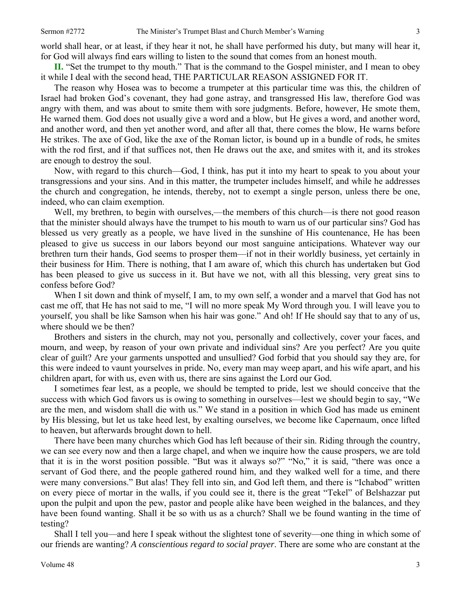world shall hear, or at least, if they hear it not, he shall have performed his duty, but many will hear it, for God will always find ears willing to listen to the sound that comes from an honest mouth.

**II.** "Set the trumpet to thy mouth." That is the command to the Gospel minister, and I mean to obey it while I deal with the second head, THE PARTICULAR REASON ASSIGNED FOR IT.

The reason why Hosea was to become a trumpeter at this particular time was this, the children of Israel had broken God's covenant, they had gone astray, and transgressed His law, therefore God was angry with them, and was about to smite them with sore judgments. Before, however, He smote them, He warned them. God does not usually give a word and a blow, but He gives a word, and another word, and another word, and then yet another word, and after all that, there comes the blow, He warns before He strikes. The axe of God, like the axe of the Roman lictor, is bound up in a bundle of rods, he smites with the rod first, and if that suffices not, then He draws out the axe, and smites with it, and its strokes are enough to destroy the soul.

Now, with regard to this church—God, I think, has put it into my heart to speak to you about your transgressions and your sins. And in this matter, the trumpeter includes himself, and while he addresses the church and congregation, he intends, thereby, not to exempt a single person, unless there be one, indeed, who can claim exemption.

Well, my brethren, to begin with ourselves,—the members of this church—is there not good reason that the minister should always have the trumpet to his mouth to warn us of our particular sins? God has blessed us very greatly as a people, we have lived in the sunshine of His countenance, He has been pleased to give us success in our labors beyond our most sanguine anticipations. Whatever way our brethren turn their hands, God seems to prosper them—if not in their worldly business, yet certainly in their business for Him. There is nothing, that I am aware of, which this church has undertaken but God has been pleased to give us success in it. But have we not, with all this blessing, very great sins to confess before God?

When I sit down and think of myself, I am, to my own self, a wonder and a marvel that God has not cast me off, that He has not said to me, "I will no more speak My Word through you. I will leave you to yourself, you shall be like Samson when his hair was gone." And oh! If He should say that to any of us, where should we be then?

Brothers and sisters in the church, may not you, personally and collectively, cover your faces, and mourn, and weep, by reason of your own private and individual sins? Are you perfect? Are you quite clear of guilt? Are your garments unspotted and unsullied? God forbid that you should say they are, for this were indeed to vaunt yourselves in pride. No, every man may weep apart, and his wife apart, and his children apart, for with us, even with us, there are sins against the Lord our God.

I sometimes fear lest, as a people, we should be tempted to pride, lest we should conceive that the success with which God favors us is owing to something in ourselves—lest we should begin to say, "We are the men, and wisdom shall die with us." We stand in a position in which God has made us eminent by His blessing, but let us take heed lest, by exalting ourselves, we become like Capernaum, once lifted to heaven, but afterwards brought down to hell.

There have been many churches which God has left because of their sin. Riding through the country, we can see every now and then a large chapel, and when we inquire how the cause prospers, we are told that it is in the worst position possible. "But was it always so?" "No," it is said, "there was once a servant of God there, and the people gathered round him, and they walked well for a time, and there were many conversions." But alas! They fell into sin, and God left them, and there is "Ichabod" written on every piece of mortar in the walls, if you could see it, there is the great "Tekel" of Belshazzar put upon the pulpit and upon the pew, pastor and people alike have been weighed in the balances, and they have been found wanting. Shall it be so with us as a church? Shall we be found wanting in the time of testing?

Shall I tell you—and here I speak without the slightest tone of severity—one thing in which some of our friends are wanting? *A conscientious regard to social prayer*. There are some who are constant at the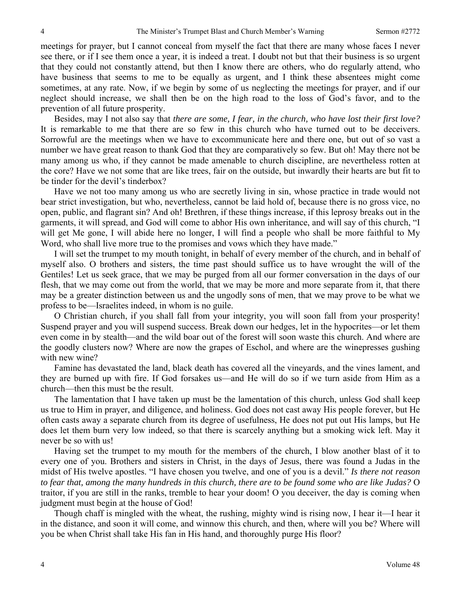meetings for prayer, but I cannot conceal from myself the fact that there are many whose faces I never see there, or if I see them once a year, it is indeed a treat. I doubt not but that their business is so urgent that they could not constantly attend, but then I know there are others, who do regularly attend, who have business that seems to me to be equally as urgent, and I think these absentees might come sometimes, at any rate. Now, if we begin by some of us neglecting the meetings for prayer, and if our neglect should increase, we shall then be on the high road to the loss of God's favor, and to the prevention of all future prosperity.

Besides, may I not also say that *there are some, I fear, in the church, who have lost their first love?* It is remarkable to me that there are so few in this church who have turned out to be deceivers. Sorrowful are the meetings when we have to excommunicate here and there one, but out of so vast a number we have great reason to thank God that they are comparatively so few. But oh! May there not be many among us who, if they cannot be made amenable to church discipline, are nevertheless rotten at the core? Have we not some that are like trees, fair on the outside, but inwardly their hearts are but fit to be tinder for the devil's tinderbox?

Have we not too many among us who are secretly living in sin, whose practice in trade would not bear strict investigation, but who, nevertheless, cannot be laid hold of, because there is no gross vice, no open, public, and flagrant sin? And oh! Brethren, if these things increase, if this leprosy breaks out in the garments, it will spread, and God will come to abhor His own inheritance, and will say of this church, "I will get Me gone, I will abide here no longer, I will find a people who shall be more faithful to My Word, who shall live more true to the promises and vows which they have made."

I will set the trumpet to my mouth tonight, in behalf of every member of the church, and in behalf of myself also. O brothers and sisters, the time past should suffice us to have wrought the will of the Gentiles! Let us seek grace, that we may be purged from all our former conversation in the days of our flesh, that we may come out from the world, that we may be more and more separate from it, that there may be a greater distinction between us and the ungodly sons of men, that we may prove to be what we profess to be—Israelites indeed, in whom is no guile.

O Christian church, if you shall fall from your integrity, you will soon fall from your prosperity! Suspend prayer and you will suspend success. Break down our hedges, let in the hypocrites—or let them even come in by stealth—and the wild boar out of the forest will soon waste this church. And where are the goodly clusters now? Where are now the grapes of Eschol, and where are the winepresses gushing with new wine?

Famine has devastated the land, black death has covered all the vineyards, and the vines lament, and they are burned up with fire. If God forsakes us—and He will do so if we turn aside from Him as a church—then this must be the result.

The lamentation that I have taken up must be the lamentation of this church, unless God shall keep us true to Him in prayer, and diligence, and holiness. God does not cast away His people forever, but He often casts away a separate church from its degree of usefulness, He does not put out His lamps, but He does let them burn very low indeed, so that there is scarcely anything but a smoking wick left. May it never be so with us!

Having set the trumpet to my mouth for the members of the church, I blow another blast of it to every one of you. Brothers and sisters in Christ, in the days of Jesus, there was found a Judas in the midst of His twelve apostles. "I have chosen you twelve, and one of you is a devil." *Is there not reason to fear that, among the many hundreds in this church, there are to be found some who are like Judas?* O traitor, if you are still in the ranks, tremble to hear your doom! O you deceiver, the day is coming when judgment must begin at the house of God!

Though chaff is mingled with the wheat, the rushing, mighty wind is rising now, I hear it—I hear it in the distance, and soon it will come, and winnow this church, and then, where will you be? Where will you be when Christ shall take His fan in His hand, and thoroughly purge His floor?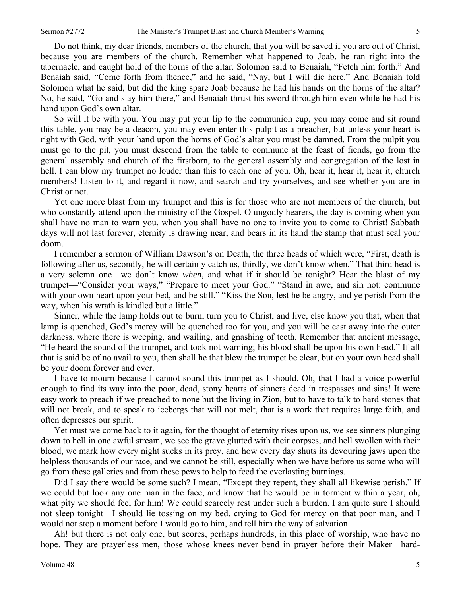Do not think, my dear friends, members of the church, that you will be saved if you are out of Christ, because you are members of the church. Remember what happened to Joab, he ran right into the tabernacle, and caught hold of the horns of the altar. Solomon said to Benaiah, "Fetch him forth." And Benaiah said, "Come forth from thence," and he said, "Nay, but I will die here." And Benaiah told Solomon what he said, but did the king spare Joab because he had his hands on the horns of the altar? No, he said, "Go and slay him there," and Benaiah thrust his sword through him even while he had his hand upon God's own altar.

So will it be with you. You may put your lip to the communion cup, you may come and sit round this table, you may be a deacon, you may even enter this pulpit as a preacher, but unless your heart is right with God, with your hand upon the horns of God's altar you must be damned. From the pulpit you must go to the pit, you must descend from the table to commune at the feast of fiends, go from the general assembly and church of the firstborn, to the general assembly and congregation of the lost in hell. I can blow my trumpet no louder than this to each one of you. Oh, hear it, hear it, hear it, church members! Listen to it, and regard it now, and search and try yourselves, and see whether you are in Christ or not.

Yet one more blast from my trumpet and this is for those who are not members of the church, but who constantly attend upon the ministry of the Gospel. O ungodly hearers, the day is coming when you shall have no man to warn you, when you shall have no one to invite you to come to Christ! Sabbath days will not last forever, eternity is drawing near, and bears in its hand the stamp that must seal your doom.

I remember a sermon of William Dawson's on Death, the three heads of which were, "First, death is following after us, secondly, he will certainly catch us, thirdly, we don't know when." That third head is a very solemn one—we don't know *when,* and what if it should be tonight? Hear the blast of my trumpet—"Consider your ways," "Prepare to meet your God." "Stand in awe, and sin not: commune with your own heart upon your bed, and be still." "Kiss the Son, lest he be angry, and ye perish from the way, when his wrath is kindled but a little."

Sinner, while the lamp holds out to burn, turn you to Christ, and live, else know you that, when that lamp is quenched, God's mercy will be quenched too for you, and you will be cast away into the outer darkness, where there is weeping, and wailing, and gnashing of teeth. Remember that ancient message, "He heard the sound of the trumpet, and took not warning; his blood shall be upon his own head." If all that is said be of no avail to you, then shall he that blew the trumpet be clear, but on your own head shall be your doom forever and ever.

I have to mourn because I cannot sound this trumpet as I should. Oh, that I had a voice powerful enough to find its way into the poor, dead, stony hearts of sinners dead in trespasses and sins! It were easy work to preach if we preached to none but the living in Zion, but to have to talk to hard stones that will not break, and to speak to icebergs that will not melt, that is a work that requires large faith, and often depresses our spirit.

Yet must we come back to it again, for the thought of eternity rises upon us, we see sinners plunging down to hell in one awful stream, we see the grave glutted with their corpses, and hell swollen with their blood, we mark how every night sucks in its prey, and how every day shuts its devouring jaws upon the helpless thousands of our race, and we cannot be still, especially when we have before us some who will go from these galleries and from these pews to help to feed the everlasting burnings.

Did I say there would be some such? I mean, "Except they repent, they shall all likewise perish." If we could but look any one man in the face, and know that he would be in torment within a year, oh, what pity we should feel for him! We could scarcely rest under such a burden. I am quite sure I should not sleep tonight—I should lie tossing on my bed, crying to God for mercy on that poor man, and I would not stop a moment before I would go to him, and tell him the way of salvation.

Ah! but there is not only one, but scores, perhaps hundreds, in this place of worship, who have no hope. They are prayerless men, those whose knees never bend in prayer before their Maker—hard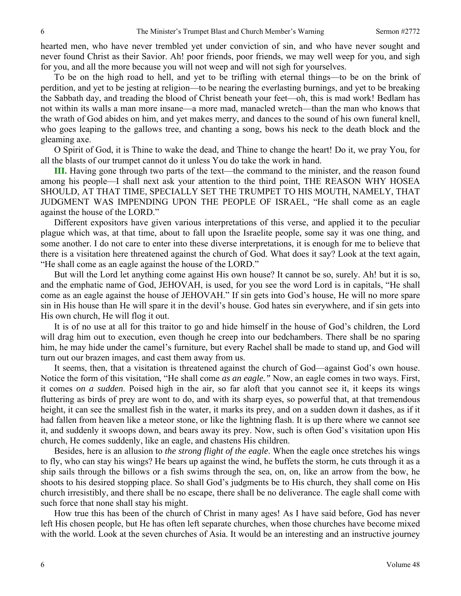hearted men, who have never trembled yet under conviction of sin, and who have never sought and never found Christ as their Savior. Ah! poor friends, poor friends, we may well weep for you, and sigh for you, and all the more because you will not weep and will not sigh for yourselves.

To be on the high road to hell, and yet to be trifling with eternal things—to be on the brink of perdition, and yet to be jesting at religion—to be nearing the everlasting burnings, and yet to be breaking the Sabbath day, and treading the blood of Christ beneath your feet—oh, this is mad work! Bedlam has not within its walls a man more insane—a more mad, manacled wretch—than the man who knows that the wrath of God abides on him, and yet makes merry, and dances to the sound of his own funeral knell, who goes leaping to the gallows tree, and chanting a song, bows his neck to the death block and the gleaming axe.

O Spirit of God, it is Thine to wake the dead, and Thine to change the heart! Do it, we pray You, for all the blasts of our trumpet cannot do it unless You do take the work in hand.

**III.** Having gone through two parts of the text—the command to the minister, and the reason found among his people—I shall next ask your attention to the third point, THE REASON WHY HOSEA SHOULD, AT THAT TIME, SPECIALLY SET THE TRUMPET TO HIS MOUTH, NAMELY, THAT JUDGMENT WAS IMPENDING UPON THE PEOPLE OF ISRAEL, "He shall come as an eagle against the house of the LORD."

Different expositors have given various interpretations of this verse, and applied it to the peculiar plague which was, at that time, about to fall upon the Israelite people, some say it was one thing, and some another. I do not care to enter into these diverse interpretations, it is enough for me to believe that there is a visitation here threatened against the church of God. What does it say? Look at the text again, "He shall come as an eagle against the house of the LORD."

But will the Lord let anything come against His own house? It cannot be so, surely. Ah! but it is so, and the emphatic name of God, JEHOVAH, is used, for you see the word Lord is in capitals, "He shall come as an eagle against the house of JEHOVAH." If sin gets into God's house, He will no more spare sin in His house than He will spare it in the devil's house. God hates sin everywhere, and if sin gets into His own church, He will flog it out.

It is of no use at all for this traitor to go and hide himself in the house of God's children, the Lord will drag him out to execution, even though he creep into our bedchambers. There shall be no sparing him, he may hide under the camel's furniture, but every Rachel shall be made to stand up, and God will turn out our brazen images, and cast them away from us.

It seems, then, that a visitation is threatened against the church of God—against God's own house. Notice the form of this visitation, "He shall come *as an eagle."* Now, an eagle comes in two ways. First, it comes *on a sudden*. Poised high in the air, so far aloft that you cannot see it, it keeps its wings fluttering as birds of prey are wont to do, and with its sharp eyes, so powerful that, at that tremendous height, it can see the smallest fish in the water, it marks its prey, and on a sudden down it dashes, as if it had fallen from heaven like a meteor stone, or like the lightning flash. It is up there where we cannot see it, and suddenly it swoops down, and bears away its prey. Now, such is often God's visitation upon His church, He comes suddenly, like an eagle, and chastens His children.

Besides, here is an allusion to *the strong flight of the eagle*. When the eagle once stretches his wings to fly, who can stay his wings? He bears up against the wind, he buffets the storm, he cuts through it as a ship sails through the billows or a fish swims through the sea, on, on, like an arrow from the bow, he shoots to his desired stopping place. So shall God's judgments be to His church, they shall come on His church irresistibly, and there shall be no escape, there shall be no deliverance. The eagle shall come with such force that none shall stay his might.

How true this has been of the church of Christ in many ages! As I have said before, God has never left His chosen people, but He has often left separate churches, when those churches have become mixed with the world. Look at the seven churches of Asia. It would be an interesting and an instructive journey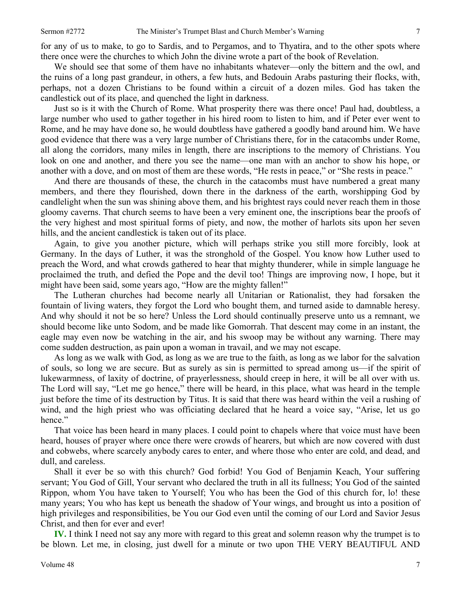We should see that some of them have no inhabitants whatever—only the bittern and the owl, and the ruins of a long past grandeur, in others, a few huts, and Bedouin Arabs pasturing their flocks, with, perhaps, not a dozen Christians to be found within a circuit of a dozen miles. God has taken the candlestick out of its place, and quenched the light in darkness.

Just so is it with the Church of Rome. What prosperity there was there once! Paul had, doubtless, a large number who used to gather together in his hired room to listen to him, and if Peter ever went to Rome, and he may have done so, he would doubtless have gathered a goodly band around him. We have good evidence that there was a very large number of Christians there, for in the catacombs under Rome, all along the corridors, many miles in length, there are inscriptions to the memory of Christians. You look on one and another, and there you see the name—one man with an anchor to show his hope, or another with a dove, and on most of them are these words, "He rests in peace," or "She rests in peace."

And there are thousands of these, the church in the catacombs must have numbered a great many members, and there they flourished, down there in the darkness of the earth, worshipping God by candlelight when the sun was shining above them, and his brightest rays could never reach them in those gloomy caverns. That church seems to have been a very eminent one, the inscriptions bear the proofs of the very highest and most spiritual forms of piety, and now, the mother of harlots sits upon her seven hills, and the ancient candlestick is taken out of its place.

Again, to give you another picture, which will perhaps strike you still more forcibly, look at Germany. In the days of Luther, it was the stronghold of the Gospel. You know how Luther used to preach the Word, and what crowds gathered to hear that mighty thunderer, while in simple language he proclaimed the truth, and defied the Pope and the devil too! Things are improving now, I hope, but it might have been said, some years ago, "How are the mighty fallen!"

The Lutheran churches had become nearly all Unitarian or Rationalist, they had forsaken the fountain of living waters, they forgot the Lord who bought them, and turned aside to damnable heresy. And why should it not be so here? Unless the Lord should continually preserve unto us a remnant, we should become like unto Sodom, and be made like Gomorrah. That descent may come in an instant, the eagle may even now be watching in the air, and his swoop may be without any warning. There may come sudden destruction, as pain upon a woman in travail, and we may not escape.

As long as we walk with God, as long as we are true to the faith, as long as we labor for the salvation of souls, so long we are secure. But as surely as sin is permitted to spread among us—if the spirit of lukewarmness, of laxity of doctrine, of prayerlessness, should creep in here, it will be all over with us. The Lord will say, "Let me go hence," there will be heard, in this place, what was heard in the temple just before the time of its destruction by Titus. It is said that there was heard within the veil a rushing of wind, and the high priest who was officiating declared that he heard a voice say, "Arise, let us go hence."

That voice has been heard in many places. I could point to chapels where that voice must have been heard, houses of prayer where once there were crowds of hearers, but which are now covered with dust and cobwebs, where scarcely anybody cares to enter, and where those who enter are cold, and dead, and dull, and careless.

Shall it ever be so with this church? God forbid! You God of Benjamin Keach, Your suffering servant; You God of Gill, Your servant who declared the truth in all its fullness; You God of the sainted Rippon, whom You have taken to Yourself; You who has been the God of this church for, lo! these many years; You who has kept us beneath the shadow of Your wings, and brought us into a position of high privileges and responsibilities, be You our God even until the coming of our Lord and Savior Jesus Christ, and then for ever and ever!

**IV.** I think I need not say any more with regard to this great and solemn reason why the trumpet is to be blown. Let me, in closing, just dwell for a minute or two upon THE VERY BEAUTIFUL AND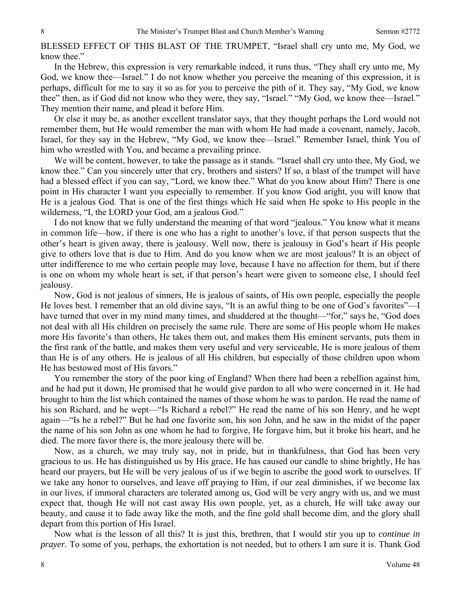BLESSED EFFECT OF THIS BLAST OF THE TRUMPET, "Israel shall cry unto me, My God, we know thee."

In the Hebrew, this expression is very remarkable indeed, it runs thus, "They shall cry unto me, My God, we know thee—Israel." I do not know whether you perceive the meaning of this expression, it is perhaps, difficult for me to say it so as for you to perceive the pith of it. They say, "My God, we know thee" then, as if God did not know who they were, they say, "Israel." "My God, we know thee—Israel." They mention their name, and plead it before Him.

Or else it may be, as another excellent translator says, that they thought perhaps the Lord would not remember them, but He would remember the man with whom He had made a covenant, namely, Jacob, Israel, for they say in the Hebrew, "My God, we know thee—Israel." Remember Israel, think You of him who wrestled with You, and became a prevailing prince.

We will be content, however, to take the passage as it stands. "Israel shall cry unto thee, My God, we know thee." Can you sincerely utter that cry, brothers and sisters? If so, a blast of the trumpet will have had a blessed effect if you can say, "Lord, we know thee." What do you know about Him? There is one point in His character I want you especially to remember. If you know God aright, you will know that He is a jealous God. That is one of the first things which He said when He spoke to His people in the wilderness, "I, the LORD your God, am a jealous God."

I do not know that we fully understand the meaning of that word "jealous." You know what it means in common life—how, if there is one who has a right to another's love, if that person suspects that the other's heart is given away, there is jealousy. Well now, there is jealousy in God's heart if His people give to others love that is due to Him. And do you know when we are most jealous? It is an object of utter indifference to me who certain people may love, because I have no affection for them, but if there is one on whom my whole heart is set, if that person's heart were given to someone else, I should feel jealousy.

Now, God is not jealous of sinners, He is jealous of saints, of His own people, especially the people He loves best. I remember that an old divine says, "It is an awful thing to be one of God's favorites"—I have turned that over in my mind many times, and shuddered at the thought—"for," says he, "God does not deal with all His children on precisely the same rule. There are some of His people whom He makes more His favorite's than others, He takes them out, and makes them His eminent servants, puts them in the first rank of the battle, and makes them very useful and very serviceable, He is more jealous of them than He is of any others. He is jealous of all His children, but especially of those children upon whom He has bestowed most of His favors."

You remember the story of the poor king of England? When there had been a rebellion against him, and he had put it down, He promised that he would give pardon to all who were concerned in it. He had brought to him the list which contained the names of those whom he was to pardon. He read the name of his son Richard, and he wept—"Is Richard a rebel?" He read the name of his son Henry, and he wept again—"Is he a rebel?" But he had one favorite son, his son John, and he saw in the midst of the paper the name of his son John as one whom he had to forgive, He forgave him, but it broke his heart, and he died. The more favor there is, the more jealousy there will be.

Now, as a church, we may truly say, not in pride, but in thankfulness, that God has been very gracious to us. He has distinguished us by His grace, He has caused our candle to shine brightly, He has heard our prayers, but He will be very jealous of us if we begin to ascribe the good work to ourselves. If we take any honor to ourselves, and leave off praying to Him, if our zeal diminishes, if we become lax in our lives, if immoral characters are tolerated among us, God will be very angry with us, and we must expect that, though He will not cast away His own people, yet, as a church, He will take away our beauty, and cause it to fade away like the moth, and the fine gold shall become dim, and the glory shall depart from this portion of His Israel.

Now what is the lesson of all this? It is just this, brethren, that I would stir you up to *continue in prayer.* To some of you, perhaps, the exhortation is not needed, but to others I am sure it is. Thank God